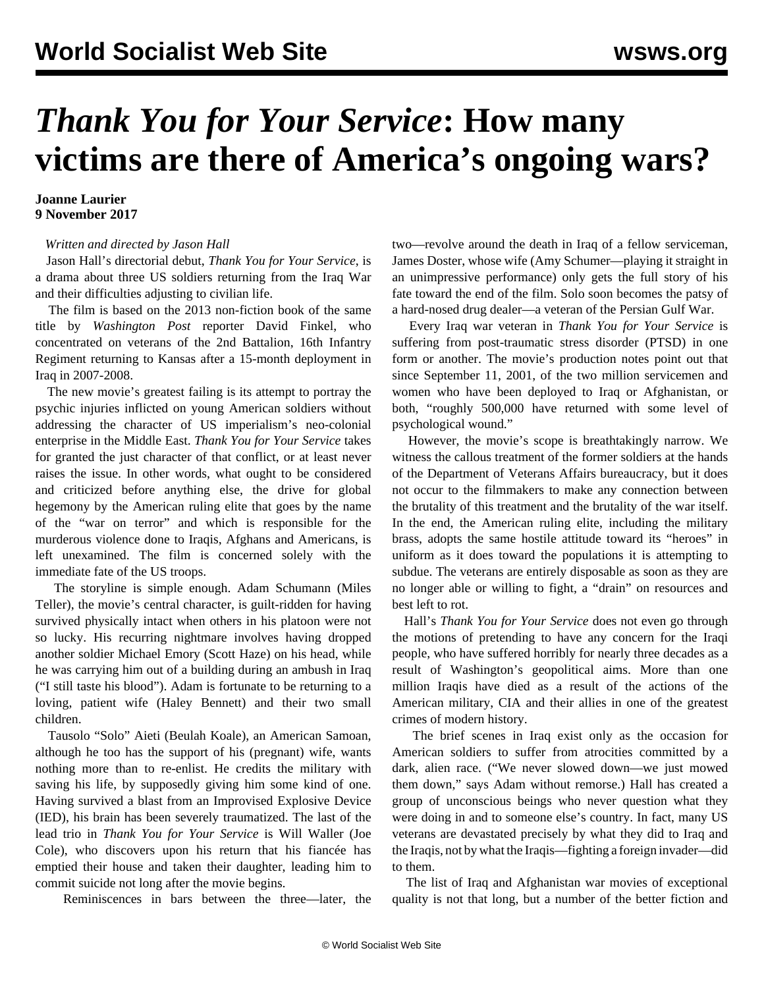## *Thank You for Your Service***: How many victims are there of America's ongoing wars?**

## **Joanne Laurier 9 November 2017**

## *Written and directed by Jason Hall*

 Jason Hall's directorial debut, *Thank You for Your Service*, is a drama about three US soldiers returning from the Iraq War and their difficulties adjusting to civilian life.

 The film is based on the 2013 non-fiction book of the same title by *Washington Post* reporter David Finkel, who concentrated on veterans of the 2nd Battalion, 16th Infantry Regiment returning to Kansas after a 15-month deployment in Iraq in 2007-2008.

 The new movie's greatest failing is its attempt to portray the psychic injuries inflicted on young American soldiers without addressing the character of US imperialism's neo-colonial enterprise in the Middle East. *Thank You for Your Service* takes for granted the just character of that conflict, or at least never raises the issue. In other words, what ought to be considered and criticized before anything else, the drive for global hegemony by the American ruling elite that goes by the name of the "war on terror" and which is responsible for the murderous violence done to Iraqis, Afghans and Americans, is left unexamined. The film is concerned solely with the immediate fate of the US troops.

 The storyline is simple enough. Adam Schumann (Miles Teller), the movie's central character, is guilt-ridden for having survived physically intact when others in his platoon were not so lucky. His recurring nightmare involves having dropped another soldier Michael Emory (Scott Haze) on his head, while he was carrying him out of a building during an ambush in Iraq ("I still taste his blood"). Adam is fortunate to be returning to a loving, patient wife (Haley Bennett) and their two small children.

 Tausolo "Solo" Aieti (Beulah Koale), an American Samoan, although he too has the support of his (pregnant) wife, wants nothing more than to re-enlist. He credits the military with saving his life, by supposedly giving him some kind of one. Having survived a blast from an Improvised Explosive Device (IED), his brain has been severely traumatized. The last of the lead trio in *Thank You for Your Service* is Will Waller (Joe Cole), who discovers upon his return that his fiancée has emptied their house and taken their daughter, leading him to commit suicide not long after the movie begins.

Reminiscences in bars between the three—later, the

two—revolve around the death in Iraq of a fellow serviceman, James Doster, whose wife (Amy Schumer—playing it straight in an unimpressive performance) only gets the full story of his fate toward the end of the film. Solo soon becomes the patsy of a hard-nosed drug dealer—a veteran of the Persian Gulf War.

 Every Iraq war veteran in *Thank You for Your Service* is suffering from post-traumatic stress disorder (PTSD) in one form or another. The movie's production notes point out that since September 11, 2001, of the two million servicemen and women who have been deployed to Iraq or Afghanistan, or both, "roughly 500,000 have returned with some level of psychological wound."

 However, the movie's scope is breathtakingly narrow. We witness the callous treatment of the former soldiers at the hands of the Department of Veterans Affairs bureaucracy, but it does not occur to the filmmakers to make any connection between the brutality of this treatment and the brutality of the war itself. In the end, the American ruling elite, including the military brass, adopts the same hostile attitude toward its "heroes" in uniform as it does toward the populations it is attempting to subdue. The veterans are entirely disposable as soon as they are no longer able or willing to fight, a "drain" on resources and best left to rot.

 Hall's *Thank You for Your Service* does not even go through the motions of pretending to have any concern for the Iraqi people, who have suffered horribly for nearly three decades as a result of Washington's geopolitical aims. More than one million Iraqis have died as a result of the actions of the American military, CIA and their allies in one of the greatest crimes of modern history.

 The brief scenes in Iraq exist only as the occasion for American soldiers to suffer from atrocities committed by a dark, alien race. ("We never slowed down—we just mowed them down," says Adam without remorse.) Hall has created a group of unconscious beings who never question what they were doing in and to someone else's country. In fact, many US veterans are devastated precisely by what they did to Iraq and the Iraqis, not by what the Iraqis—fighting a foreign invader—did to them.

 The list of Iraq and Afghanistan war movies of exceptional quality is not that long, but a number of the better fiction and